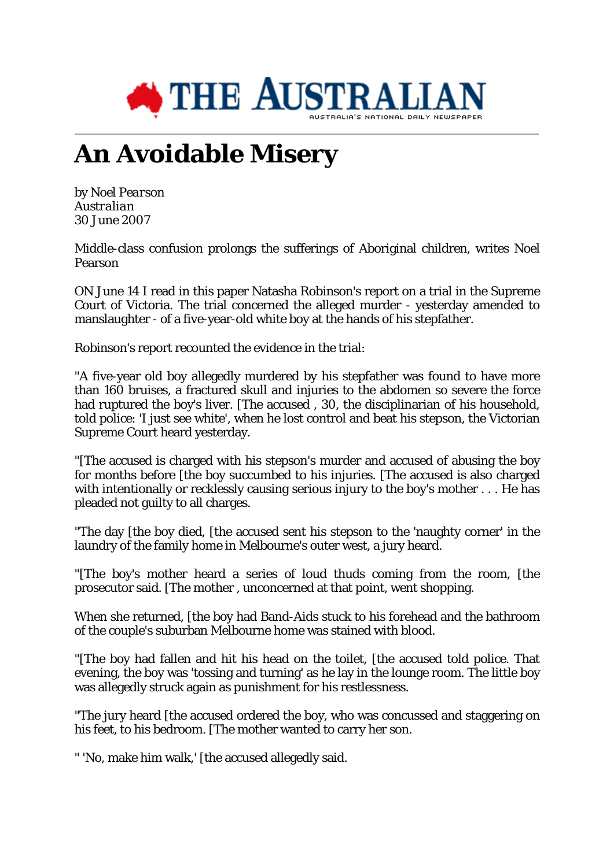

## **An Avoidable Misery**

by *Noel Pearson Australian* 30 June 2007

Middle-class confusion prolongs the sufferings of Aboriginal children, writes Noel Pearson

ON June 14 I read in this paper Natasha Robinson's report on a trial in the Supreme Court of Victoria. The trial concerned the alleged murder - yesterday amended to manslaughter - of a five-year-old white boy at the hands of his stepfather.

Robinson's report recounted the evidence in the trial:

"A five-year old boy allegedly murdered by his stepfather was found to have more than 160 bruises, a fractured skull and injuries to the abdomen so severe the force had ruptured the boy's liver. [The accused, 30, the disciplinarian of his household, told police: 'I just see white', when he lost control and beat his stepson, the Victorian Supreme Court heard yesterday.

"[The accused is charged with his stepson's murder and accused of abusing the boy for months before [the boy succumbed to his injuries. [The accused is also charged with intentionally or recklessly causing serious injury to the boy's mother . . . He has pleaded not guilty to all charges.

"The day [the boy died, [the accused sent his stepson to the 'naughty corner' in the laundry of the family home in Melbourne's outer west, a jury heard.

"[The boy's mother heard a series of loud thuds coming from the room, [the prosecutor said. [The mother , unconcerned at that point, went shopping.

When she returned, [the boy had Band-Aids stuck to his forehead and the bathroom of the couple's suburban Melbourne home was stained with blood.

"[The boy had fallen and hit his head on the toilet, [the accused told police. That evening, the boy was 'tossing and turning' as he lay in the lounge room. The little boy was allegedly struck again as punishment for his restlessness.

"The jury heard [the accused ordered the boy, who was concussed and staggering on his feet, to his bedroom. [The mother wanted to carry her son.

" 'No, make him walk,' [the accused allegedly said.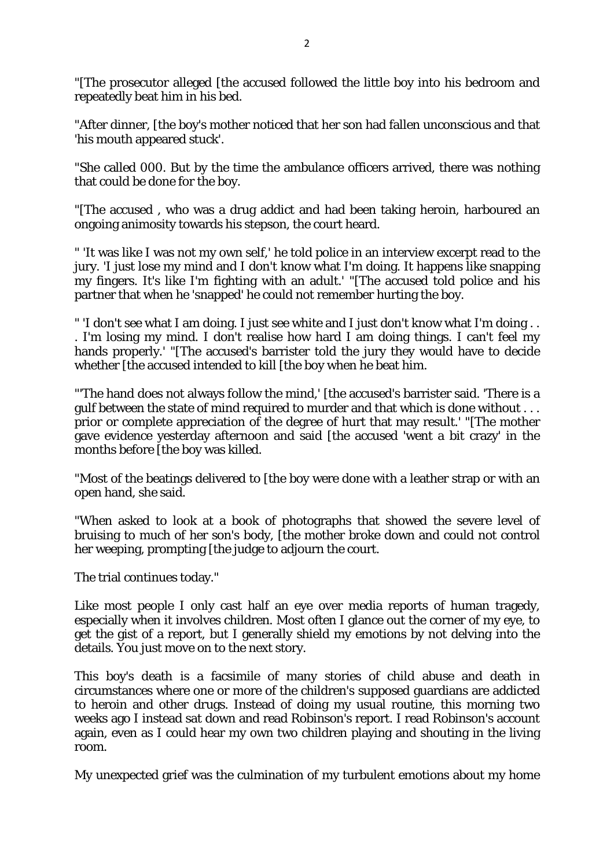"[The prosecutor alleged [the accused followed the little boy into his bedroom and repeatedly beat him in his bed.

"After dinner, [the boy's mother noticed that her son had fallen unconscious and that 'his mouth appeared stuck'.

"She called 000. But by the time the ambulance officers arrived, there was nothing that could be done for the boy.

"[The accused , who was a drug addict and had been taking heroin, harboured an ongoing animosity towards his stepson, the court heard.

" 'It was like I was not my own self,' he told police in an interview excerpt read to the jury. 'I just lose my mind and I don't know what I'm doing. It happens like snapping my fingers. It's like I'm fighting with an adult.' "[The accused told police and his partner that when he 'snapped' he could not remember hurting the boy.

" 'I don't see what I am doing. I just see white and I just don't know what I'm doing . . . I'm losing my mind. I don't realise how hard I am doing things. I can't feel my hands properly.' "[The accused's barrister told the jury they would have to decide whether [the accused intended to kill [the boy when he beat him.

"'The hand does not always follow the mind,' [the accused's barrister said. 'There is a gulf between the state of mind required to murder and that which is done without . . . prior or complete appreciation of the degree of hurt that may result.' "[The mother gave evidence yesterday afternoon and said [the accused 'went a bit crazy' in the months before [the boy was killed.

"Most of the beatings delivered to [the boy were done with a leather strap or with an open hand, she said.

"When asked to look at a book of photographs that showed the severe level of bruising to much of her son's body, [the mother broke down and could not control her weeping, prompting [the judge to adjourn the court.

The trial continues today."

Like most people I only cast half an eye over media reports of human tragedy, especially when it involves children. Most often I glance out the corner of my eye, to get the gist of a report, but I generally shield my emotions by not delving into the details. You just move on to the next story.

This boy's death is a facsimile of many stories of child abuse and death in circumstances where one or more of the children's supposed guardians are addicted to heroin and other drugs. Instead of doing my usual routine, this morning two weeks ago I instead sat down and read Robinson's report. I read Robinson's account again, even as I could hear my own two children playing and shouting in the living room.

My unexpected grief was the culmination of my turbulent emotions about my home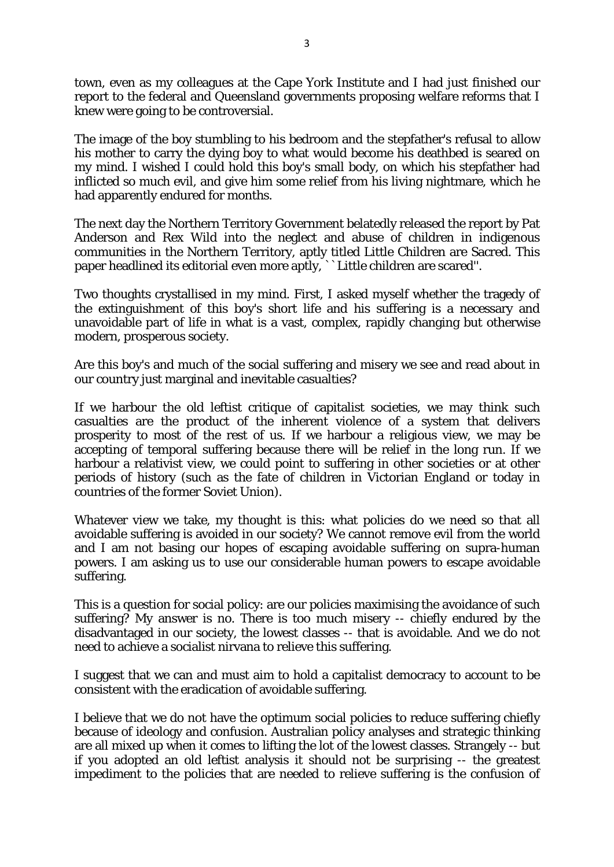town, even as my colleagues at the Cape York Institute and I had just finished our report to the federal and Queensland governments proposing welfare reforms that I knew were going to be controversial.

The image of the boy stumbling to his bedroom and the stepfather's refusal to allow his mother to carry the dying boy to what would become his deathbed is seared on my mind. I wished I could hold this boy's small body, on which his stepfather had inflicted so much evil, and give him some relief from his living nightmare, which he had apparently endured for months.

The next day the Northern Territory Government belatedly released the report by Pat Anderson and Rex Wild into the neglect and abuse of children in indigenous communities in the Northern Territory, aptly titled Little Children are Sacred. This paper headlined its editorial even more aptly, ``Little children are scared''.

Two thoughts crystallised in my mind. First, I asked myself whether the tragedy of the extinguishment of this boy's short life and his suffering is a necessary and unavoidable part of life in what is a vast, complex, rapidly changing but otherwise modern, prosperous society.

Are this boy's and much of the social suffering and misery we see and read about in our country just marginal and inevitable casualties?

If we harbour the old leftist critique of capitalist societies, we may think such casualties are the product of the inherent violence of a system that delivers prosperity to most of the rest of us. If we harbour a religious view, we may be accepting of temporal suffering because there will be relief in the long run. If we harbour a relativist view, we could point to suffering in other societies or at other periods of history (such as the fate of children in Victorian England or today in countries of the former Soviet Union).

Whatever view we take, my thought is this: what policies do we need so that all avoidable suffering is avoided in our society? We cannot remove evil from the world and I am not basing our hopes of escaping avoidable suffering on supra-human powers. I am asking us to use our considerable human powers to escape avoidable suffering.

This is a question for social policy: are our policies maximising the avoidance of such suffering? My answer is no. There is too much misery -- chiefly endured by the disadvantaged in our society, the lowest classes -- that is avoidable. And we do not need to achieve a socialist nirvana to relieve this suffering.

I suggest that we can and must aim to hold a capitalist democracy to account to be consistent with the eradication of avoidable suffering.

I believe that we do not have the optimum social policies to reduce suffering chiefly because of ideology and confusion. Australian policy analyses and strategic thinking are all mixed up when it comes to lifting the lot of the lowest classes. Strangely -- but if you adopted an old leftist analysis it should not be surprising -- the greatest impediment to the policies that are needed to relieve suffering is the confusion of